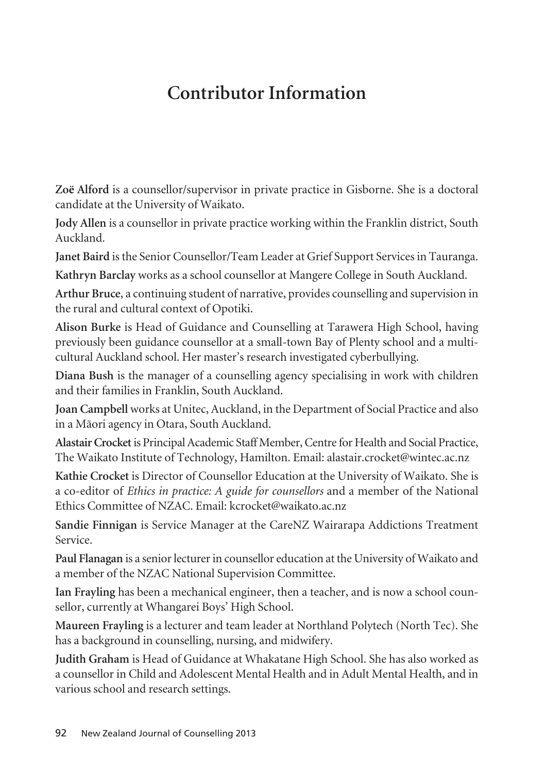## **Contributor Information**

**Zoë Alford** is a counsellor/supervisor in private practice in Gisborne. She is a doctoral candidate at the University of Waikato.

**Jody Allen** is a counsellor in private practice working within the Franklin district, South Auckland.

**Janet Baird** is the Senior Counsellor/Team Leader at Grief Support Services in Tauranga.

**Kathryn Barclay** works as a school counsellor at Mangere College in South Auckland.

**Arthur Bruce**, a continuing student of narrative, provides counselling and supervision in the rural and cultural context of Opotiki.

**Alison Burke** is Head of Guidance and Counselling at Tarawera High School, having previously been guidance counsellor at a small-town Bay of Plenty school and a multicultural Auckland school. Her master's research investigated cyberbullying.

**Diana Bush** is the manager of a counselling agency specialising in work with children and their families in Franklin, South Auckland.

**Joan Campbell** works at Unitec, Auckland, in the Department of Social Practice and also in a Mäori agency in Otara, South Auckland.

**Alastair Crocket** is Principal Academic Staff Member, Centre for Health and Social Practice, The Waikato Institute of Technology, Hamilton. Email: alastair.crocket@wintec.ac.nz

**Kathie Crocket** is Director of Counsellor Education at the University of Waikato. She is a co-editor of *Ethics in practice: A guide for counsellors* and a member of the National Ethics Committee of NZAC. Email: kcrocket@waikato.ac.nz

**Sandie Finnigan** is Service Manager at the CareNZ Wairarapa Addictions Treatment Service.

**Paul Flanagan** is a senior lecturer in counsellor education at the University of Waikato and a member of the NZAC National Supervision Committee.

**Ian Frayling** has been a mechanical engineer, then a teacher, and is now a school counsellor, currently at Whangarei Boys' High School.

**Maureen Frayling** is a lecturer and team leader at Northland Polytech (North Tec). She has a background in counselling, nursing, and midwifery.

**Judith Graham** is Head of Guidance at Whakatane High School. She has also worked as a counsellor in Child and Adolescent Mental Health and in Adult Mental Health, and in various school and research settings.